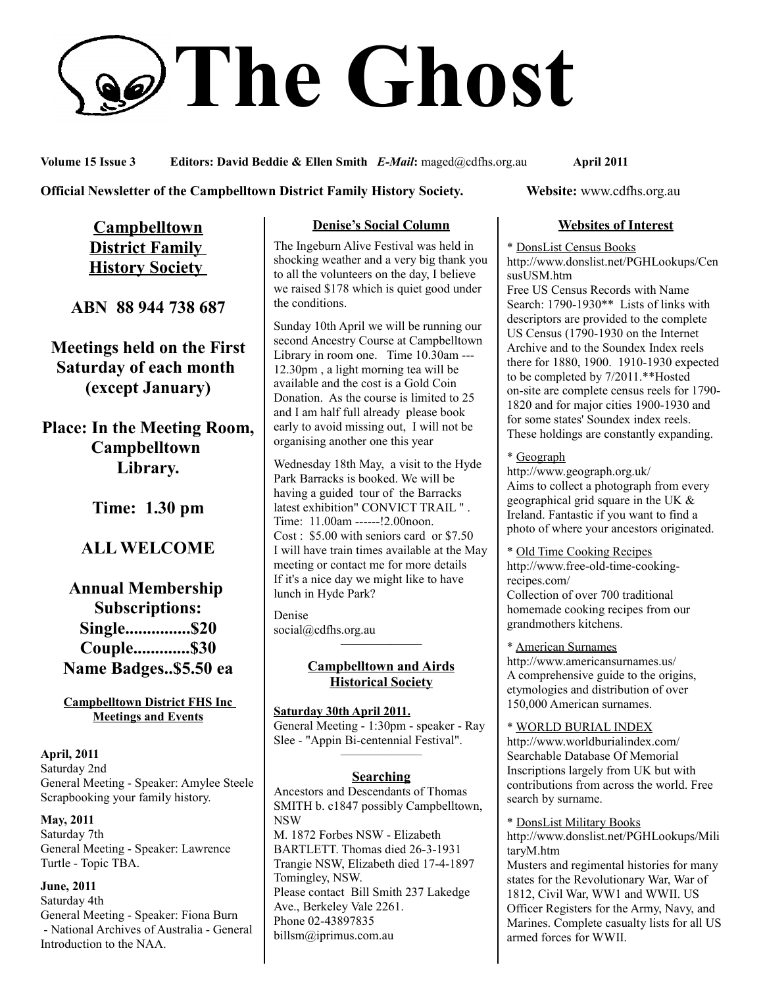# **The Ghost**

**Volume 15 Issue 3 Editors: David Beddie & Ellen Smith** *E-Mail***:** maged@cdfhs.org.au **April 2011**

### **Official Newsletter of the Campbelltown District Family History Society. Website: www.cdfhs.org.au**

**Campbelltown District Family History Society** 

**ABN 88 944 738 687**

**Meetings held on the First Saturday of each month (except January)**

**Place: In the Meeting Room, Campbelltown Library.**

**Time: 1.30 pm**

# **ALL WELCOME**

# **Annual Membership Subscriptions: Single...............\$20 Couple.............\$30 Name Badges..\$5.50 ea**

### **Campbelltown District FHS Inc Meetings and Events**

**April, 2011** Saturday 2nd General Meeting - Speaker: Amylee Steele Scrapbooking your family history.

**May, 2011** Saturday 7th General Meeting - Speaker: Lawrence Turtle - Topic TBA.

**June, 2011** Saturday 4th General Meeting - Speaker: Fiona Burn - National Archives of Australia - General Introduction to the NAA.

### **Denise's Social Column**

The Ingeburn Alive Festival was held in shocking weather and a very big thank you to all the volunteers on the day, I believe we raised \$178 which is quiet good under the conditions.

Sunday 10th April we will be running our second Ancestry Course at Campbelltown Library in room one. Time 10.30am --- 12.30pm , a light morning tea will be available and the cost is a Gold Coin Donation. As the course is limited to 25 and I am half full already please book early to avoid missing out, I will not be organising another one this year

Wednesday 18th May, a visit to the Hyde Park Barracks is booked. We will be having a guided tour of the Barracks latest exhibition" CONVICT TRAIL " . Time: 11.00am ------!2.00noon. Cost : \$5.00 with seniors card or \$7.50 I will have train times available at the May meeting or contact me for more details If it's a nice day we might like to have lunch in Hyde Park?

Denise social@cdfhs.org.au ——————–

### **Campbelltown and Airds Historical Society**

**Saturday 30th April 2011.** General Meeting - 1:30pm - speaker - Ray Slee - "Appin Bi-centennial Festival". ——————–

### **Searching**

Ancestors and Descendants of Thomas SMITH b. c1847 possibly Campbelltown, NSW M. 1872 Forbes NSW - Elizabeth BARTLETT. Thomas died 26-3-1931 Trangie NSW, Elizabeth died 17-4-1897 Tomingley, NSW. Please contact Bill Smith 237 Lakedge Ave., Berkeley Vale 2261. Phone 02-43897835 billsm@iprimus.com.au

### **Websites of Interest**

\* DonsList Census Books

http://www.donslist.net/PGHLookups/Cen susUSM.htm

Free US Census Records with Name Search: 1790-1930\*\* Lists of links with descriptors are provided to the complete US Census (1790-1930 on the Internet Archive and to the Soundex Index reels there for 1880, 1900. 1910-1930 expected to be completed by 7/2011.\*\*Hosted on-site are complete census reels for 1790- 1820 and for major cities 1900-1930 and for some states' Soundex index reels. These holdings are constantly expanding.

### \* Geograph

http://www.geograph.org.uk/ Aims to collect a photograph from every geographical grid square in the UK & Ireland. Fantastic if you want to find a photo of where your ancestors originated.

\* Old Time Cooking Recipes http://www.free-old-time-cookingrecipes.com/ Collection of over 700 traditional homemade cooking recipes from our grandmothers kitchens.

\* American Surnames http://www.americansurnames.us/ A comprehensive guide to the origins, etymologies and distribution of over 150,000 American surnames.

\* WORLD BURIAL INDEX http://www.worldburialindex.com/ Searchable Database Of Memorial Inscriptions largely from UK but with contributions from across the world. Free search by surname.

\* DonsList Military Books http://www.donslist.net/PGHLookups/Mili taryM.htm Musters and regimental histories for many states for the Revolutionary War, War of 1812, Civil War, WW1 and WWII. US Officer Registers for the Army, Navy, and Marines. Complete casualty lists for all US armed forces for WWII.